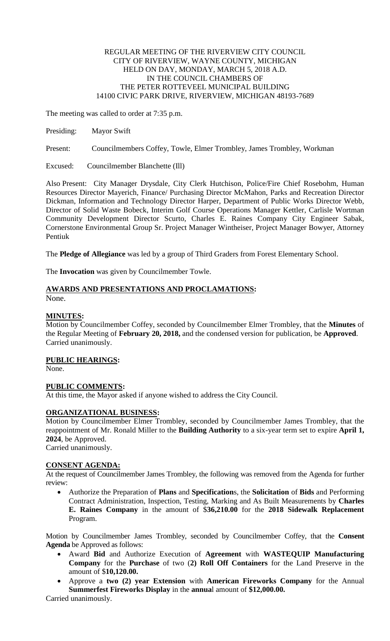#### REGULAR MEETING OF THE RIVERVIEW CITY COUNCIL CITY OF RIVERVIEW, WAYNE COUNTY, MICHIGAN HELD ON DAY, MONDAY, MARCH 5, 2018 A.D. IN THE COUNCIL CHAMBERS OF THE PETER ROTTEVEEL MUNICIPAL BUILDING 14100 CIVIC PARK DRIVE, RIVERVIEW, MICHIGAN 48193-7689

The meeting was called to order at 7:35 p.m.

Presiding: Mayor Swift

Present: Councilmembers Coffey, Towle, Elmer Trombley, James Trombley, Workman

Excused: Councilmember Blanchette (Ill)

Also Present: City Manager Drysdale, City Clerk Hutchison, Police/Fire Chief Rosebohm, Human Resources Director Mayerich, Finance/ Purchasing Director McMahon, Parks and Recreation Director Dickman, Information and Technology Director Harper, Department of Public Works Director Webb, Director of Solid Waste Bobeck, Interim Golf Course Operations Manager Kettler, Carlisle Wortman Community Development Director Scurto, Charles E. Raines Company City Engineer Sabak, Cornerstone Environmental Group Sr. Project Manager Wintheiser, Project Manager Bowyer, Attorney Pentiuk

The **Pledge of Allegiance** was led by a group of Third Graders from Forest Elementary School.

The **Invocation** was given by Councilmember Towle.

## **AWARDS AND PRESENTATIONS AND PROCLAMATIONS:**

None.

## **MINUTES:**

Motion by Councilmember Coffey, seconded by Councilmember Elmer Trombley, that the **Minutes** of the Regular Meeting of **February 20, 2018,** and the condensed version for publication, be **Approved**. Carried unanimously.

## **PUBLIC HEARINGS:**

None.

# **PUBLIC COMMENTS:**

At this time, the Mayor asked if anyone wished to address the City Council.

## **ORGANIZATIONAL BUSINESS:**

Motion by Councilmember Elmer Trombley, seconded by Councilmember James Trombley, that the reappointment of Mr. Ronald Miller to the **Building Authority** to a six-year term set to expire **April 1, 2024**, be Approved.

Carried unanimously.

## **CONSENT AGENDA:**

At the request of Councilmember James Trombley, the following was removed from the Agenda for further review:

 Authorize the Preparation of **Plans** and **Specification**s, the **Solicitation** of **Bids** and Performing Contract Administration, Inspection, Testing, Marking and As Built Measurements by **Charles E. Raines Company** in the amount of \$**36,210.00** for the **2018 Sidewalk Replacement**  Program.

Motion by Councilmember James Trombley, seconded by Councilmember Coffey, that the **Consent Agenda** be Approved as follows:

- Award **Bid** and Authorize Execution of **Agreement** with **WASTEQUIP Manufacturing Company** for the **Purchase** of two (**2) Roll Off Containers** for the Land Preserve in the amount of \$**10,120.00.**
- Approve a **two (2) year Extension** with **American Fireworks Company** for the Annual **Summerfest Fireworks Display** in the **annua**l amount of **\$12,000.00.**

Carried unanimously.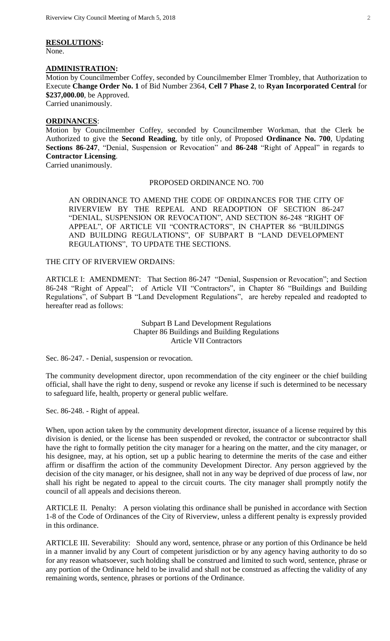## **RESOLUTIONS:**

None.

#### **ADMINISTRATION:**

Motion by Councilmember Coffey, seconded by Councilmember Elmer Trombley, that Authorization to Execute **Change Order No. 1** of Bid Number 2364, **Cell 7 Phase 2**, to **Ryan Incorporated Central** for **\$237,000.00**, be Approved.

Carried unanimously.

#### **ORDINANCES**:

Motion by Councilmember Coffey, seconded by Councilmember Workman, that the Clerk be Authorized to give the **Second Reading**, by title only, of Proposed **Ordinance No. 700**, Updating **Sections 86-247**, "Denial, Suspension or Revocation" and **86-248** "Right of Appeal" in regards to **Contractor Licensing**.

Carried unanimously.

#### PROPOSED ORDINANCE NO. 700

AN ORDINANCE TO AMEND THE CODE OF ORDINANCES FOR THE CITY OF RIVERVIEW BY THE REPEAL AND READOPTION OF SECTION 86-247 "DENIAL, SUSPENSION OR REVOCATION", AND SECTION 86-248 "RIGHT OF APPEAL", OF ARTICLE VII "CONTRACTORS", IN CHAPTER 86 "BUILDINGS AND BUILDING REGULATIONS", OF SUBPART B "LAND DEVELOPMENT REGULATIONS", TO UPDATE THE SECTIONS.

## THE CITY OF RIVERVIEW ORDAINS:

ARTICLE I: AMENDMENT: That Section 86-247 "Denial, Suspension or Revocation"; and Section 86-248 "Right of Appeal"; of Article VII "Contractors", in Chapter 86 "Buildings and Building Regulations", of Subpart B "Land Development Regulations", are hereby repealed and readopted to hereafter read as follows:

> Subpart B Land Development Regulations Chapter 86 Buildings and Building Regulations Article VII Contractors

Sec. 86-247. - Denial, suspension or revocation.

The community development director, upon recommendation of the city engineer or the chief building official, shall have the right to deny, suspend or revoke any license if such is determined to be necessary to safeguard life, health, property or general public welfare.

Sec. 86-248. - Right of appeal.

When, upon action taken by the community development director, issuance of a license required by this division is denied, or the license has been suspended or revoked, the contractor or subcontractor shall have the right to formally petition the city manager for a hearing on the matter, and the city manager, or his designee, may, at his option, set up a public hearing to determine the merits of the case and either affirm or disaffirm the action of the community Development Director. Any person aggrieved by the decision of the city manager, or his designee, shall not in any way be deprived of due process of law, nor shall his right be negated to appeal to the circuit courts. The city manager shall promptly notify the council of all appeals and decisions thereon.

ARTICLE II. Penalty: A person violating this ordinance shall be punished in accordance with Section 1-8 of the Code of Ordinances of the City of Riverview, unless a different penalty is expressly provided in this ordinance.

ARTICLE III. Severability: Should any word, sentence, phrase or any portion of this Ordinance be held in a manner invalid by any Court of competent jurisdiction or by any agency having authority to do so for any reason whatsoever, such holding shall be construed and limited to such word, sentence, phrase or any portion of the Ordinance held to be invalid and shall not be construed as affecting the validity of any remaining words, sentence, phrases or portions of the Ordinance.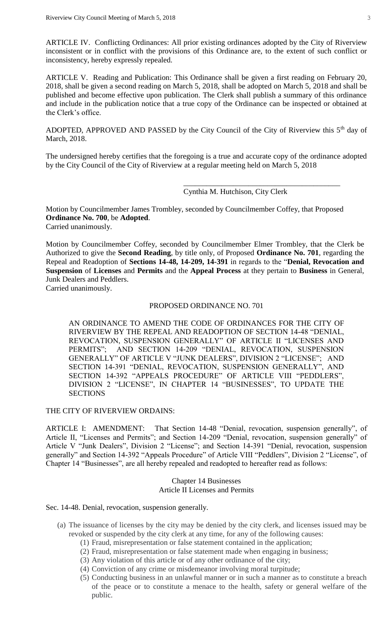ARTICLE IV. Conflicting Ordinances: All prior existing ordinances adopted by the City of Riverview inconsistent or in conflict with the provisions of this Ordinance are, to the extent of such conflict or inconsistency, hereby expressly repealed.

ARTICLE V. Reading and Publication: This Ordinance shall be given a first reading on February 20, 2018, shall be given a second reading on March 5, 2018, shall be adopted on March 5, 2018 and shall be published and become effective upon publication. The Clerk shall publish a summary of this ordinance and include in the publication notice that a true copy of the Ordinance can be inspected or obtained at the Clerk's office.

ADOPTED, APPROVED AND PASSED by the City Council of the City of Riverview this  $5<sup>th</sup>$  day of March, 2018.

The undersigned hereby certifies that the foregoing is a true and accurate copy of the ordinance adopted by the City Council of the City of Riverview at a regular meeting held on March 5, 2018

Cynthia M. Hutchison, City Clerk

\_\_\_\_\_\_\_\_\_\_\_\_\_\_\_\_\_\_\_\_\_\_\_\_\_\_\_\_\_\_\_\_\_\_\_\_\_\_\_\_\_

Motion by Councilmember James Trombley, seconded by Councilmember Coffey, that Proposed **Ordinance No. 700**, be **Adopted**. Carried unanimously.

Motion by Councilmember Coffey, seconded by Councilmember Elmer Trombley, that the Clerk be Authorized to give the **Second Reading**, by title only, of Proposed **Ordinance No. 701**, regarding the Repeal and Readoption of **Sections 14-48, 14-209, 14-391** in regards to the "**Denial, Revocation and Suspension** of **Licenses** and **Permits** and the **Appeal Process** at they pertain to **Business** in General, Junk Dealers and Peddlers.

Carried unanimously.

#### PROPOSED ORDINANCE NO. 701

AN ORDINANCE TO AMEND THE CODE OF ORDINANCES FOR THE CITY OF RIVERVIEW BY THE REPEAL AND READOPTION OF SECTION 14-48 "DENIAL, REVOCATION, SUSPENSION GENERALLY" OF ARTICLE II "LICENSES AND PERMITS"; AND SECTION 14-209 "DENIAL, REVOCATION, SUSPENSION GENERALLY" OF ARTICLE V "JUNK DEALERS", DIVISION 2 "LICENSE"; AND SECTION 14-391 "DENIAL, REVOCATION, SUSPENSION GENERALLY", AND SECTION 14-392 "APPEALS PROCEDURE" OF ARTICLE VIII "PEDDLERS", DIVISION 2 "LICENSE", IN CHAPTER 14 "BUSINESSES", TO UPDATE THE **SECTIONS** 

THE CITY OF RIVERVIEW ORDAINS:

ARTICLE I: AMENDMENT: That Section 14-48 "Denial, revocation, suspension generally", of Article II, "Licenses and Permits"; and Section 14-209 "Denial, revocation, suspension generally" of Article V "Junk Dealers", Division 2 "License"; and Section 14-391 "Denial, revocation, suspension generally" and Section 14-392 "Appeals Procedure" of Article VIII "Peddlers", Division 2 "License", of Chapter 14 "Businesses", are all hereby repealed and readopted to hereafter read as follows:

> Chapter 14 Businesses Article II Licenses and Permits

Sec. 14-48. Denial, revocation, suspension generally.

- (a) The issuance of licenses by the city may be denied by the city clerk, and licenses issued may be revoked or suspended by the city clerk at any time, for any of the following causes:
	- (1) Fraud, misrepresentation or false statement contained in the application;
	- (2) Fraud, misrepresentation or false statement made when engaging in business;
	- (3) Any violation of this article or of any other ordinance of the city;
	- (4) Conviction of any crime or misdemeanor involving moral turpitude;
	- (5) Conducting business in an unlawful manner or in such a manner as to constitute a breach of the peace or to constitute a menace to the health, safety or general welfare of the public.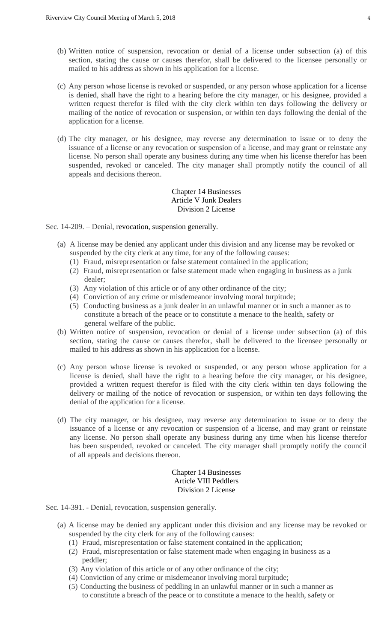- (b) Written notice of suspension, revocation or denial of a license under subsection (a) of this section, stating the cause or causes therefor, shall be delivered to the licensee personally or mailed to his address as shown in his application for a license.
- (c) Any person whose license is revoked or suspended, or any person whose application for a license is denied, shall have the right to a hearing before the city manager, or his designee, provided a written request therefor is filed with the city clerk within ten days following the delivery or mailing of the notice of revocation or suspension, or within ten days following the denial of the application for a license.
- (d) The city manager, or his designee, may reverse any determination to issue or to deny the issuance of a license or any revocation or suspension of a license, and may grant or reinstate any license. No person shall operate any business during any time when his license therefor has been suspended, revoked or canceled. The city manager shall promptly notify the council of all appeals and decisions thereon.

#### Chapter 14 Businesses Article V Junk Dealers Division 2 License

#### Sec. 14-209. – Denial, revocation, suspension generally.

- (a) A license may be denied any applicant under this division and any license may be revoked or suspended by the city clerk at any time, for any of the following causes:
	- (1) Fraud, misrepresentation or false statement contained in the application;
	- (2) Fraud, misrepresentation or false statement made when engaging in business as a junk dealer;
	- (3) Any violation of this article or of any other ordinance of the city;
	- (4) Conviction of any crime or misdemeanor involving moral turpitude;
	- (5) Conducting business as a junk dealer in an unlawful manner or in such a manner as to constitute a breach of the peace or to constitute a menace to the health, safety or general welfare of the public.
- (b) Written notice of suspension, revocation or denial of a license under subsection (a) of this section, stating the cause or causes therefor, shall be delivered to the licensee personally or mailed to his address as shown in his application for a license.
- (c) Any person whose license is revoked or suspended, or any person whose application for a license is denied, shall have the right to a hearing before the city manager, or his designee, provided a written request therefor is filed with the city clerk within ten days following the delivery or mailing of the notice of revocation or suspension, or within ten days following the denial of the application for a license.
- (d) The city manager, or his designee, may reverse any determination to issue or to deny the issuance of a license or any revocation or suspension of a license, and may grant or reinstate any license. No person shall operate any business during any time when his license therefor has been suspended, revoked or canceled. The city manager shall promptly notify the council of all appeals and decisions thereon.

#### Chapter 14 Businesses Article VIII Peddlers Division 2 License

Sec. 14-391. - Denial, revocation, suspension generally.

- (a) A license may be denied any applicant under this division and any license may be revoked or suspended by the city clerk for any of the following causes:
	- (1) Fraud, misrepresentation or false statement contained in the application;
	- (2) Fraud, misrepresentation or false statement made when engaging in business as a peddler;
	- (3) Any violation of this article or of any other ordinance of the city;
	- (4) Conviction of any crime or misdemeanor involving moral turpitude;
	- (5) Conducting the business of peddling in an unlawful manner or in such a manner as to constitute a breach of the peace or to constitute a menace to the health, safety or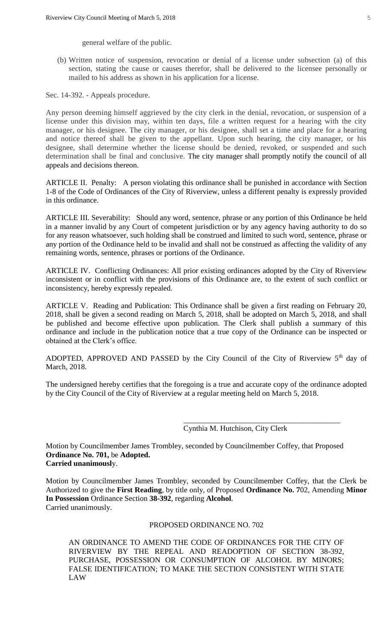general welfare of the public.

(b) Written notice of suspension, revocation or denial of a license under subsection (a) of this section, stating the cause or causes therefor, shall be delivered to the licensee personally or mailed to his address as shown in his application for a license.

Sec. 14-392. - Appeals procedure.

Any person deeming himself aggrieved by the city clerk in the denial, revocation, or suspension of a license under this division may, within ten days, file a written request for a hearing with the city manager, or his designee. The city manager, or his designee, shall set a time and place for a hearing and notice thereof shall be given to the appellant. Upon such hearing, the city manager, or his designee, shall determine whether the license should be denied, revoked, or suspended and such determination shall be final and conclusive. The city manager shall promptly notify the council of all appeals and decisions thereon.

ARTICLE II. Penalty: A person violating this ordinance shall be punished in accordance with Section 1-8 of the Code of Ordinances of the City of Riverview, unless a different penalty is expressly provided in this ordinance.

ARTICLE III. Severability: Should any word, sentence, phrase or any portion of this Ordinance be held in a manner invalid by any Court of competent jurisdiction or by any agency having authority to do so for any reason whatsoever, such holding shall be construed and limited to such word, sentence, phrase or any portion of the Ordinance held to be invalid and shall not be construed as affecting the validity of any remaining words, sentence, phrases or portions of the Ordinance.

ARTICLE IV. Conflicting Ordinances: All prior existing ordinances adopted by the City of Riverview inconsistent or in conflict with the provisions of this Ordinance are, to the extent of such conflict or inconsistency, hereby expressly repealed.

ARTICLE V. Reading and Publication: This Ordinance shall be given a first reading on February 20, 2018, shall be given a second reading on March 5, 2018, shall be adopted on March 5, 2018, and shall be published and become effective upon publication. The Clerk shall publish a summary of this ordinance and include in the publication notice that a true copy of the Ordinance can be inspected or obtained at the Clerk's office.

ADOPTED, APPROVED AND PASSED by the City Council of the City of Riverview 5<sup>th</sup> day of March, 2018.

The undersigned hereby certifies that the foregoing is a true and accurate copy of the ordinance adopted by the City Council of the City of Riverview at a regular meeting held on March 5, 2018.

Cynthia M. Hutchison, City Clerk

\_\_\_\_\_\_\_\_\_\_\_\_\_\_\_\_\_\_\_\_\_\_\_\_\_\_\_\_\_\_\_\_\_\_\_\_\_\_\_\_\_

Motion by Councilmember James Trombley, seconded by Councilmember Coffey, that Proposed **Ordinance No. 701,** be **Adopted. Carried unanimousl**y.

Motion by Councilmember James Trombley, seconded by Councilmember Coffey, that the Clerk be Authorized to give the **First Reading**, by title only, of Proposed **Ordinance No. 7**02, Amending **Minor In Possession** Ordinance Section **38-392**, regarding **Alcohol**. Carried unanimously.

## PROPOSED ORDINANCE NO. 702

AN ORDINANCE TO AMEND THE CODE OF ORDINANCES FOR THE CITY OF RIVERVIEW BY THE REPEAL AND READOPTION OF SECTION 38-392, PURCHASE, POSSESSION OR CONSUMPTION OF ALCOHOL BY MINORS; FALSE IDENTIFICATION; TO MAKE THE SECTION CONSISTENT WITH STATE LAW